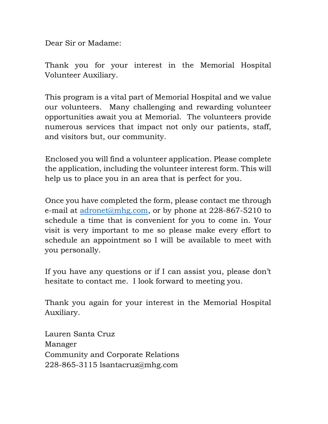Dear Sir or Madame:

Thank you for your interest in the Memorial Hospital Volunteer Auxiliary.

This program is a vital part of Memorial Hospital and we value our volunteers. Many challenging and rewarding volunteer opportunities await you at Memorial. The volunteers provide numerous services that impact not only our patients, staff, and visitors but, our community.

Enclosed you will find a volunteer application. Please complete the application, including the volunteer interest form. This will help us to place you in an area that is perfect for you.

Once you have completed the form, please contact me through e-mail at [adronet@mhg.com,](mailto:adronet@mhg.com) or by phone at 228-867-5210 to schedule a time that is convenient for you to come in. Your visit is very important to me so please make every effort to schedule an appointment so I will be available to meet with you personally.

If you have any questions or if I can assist you, please don't hesitate to contact me. I look forward to meeting you.

Thank you again for your interest in the Memorial Hospital Auxiliary.

Lauren Santa Cruz Manager Community and Corporate Relations 228-865-3115 lsantacruz@mhg.com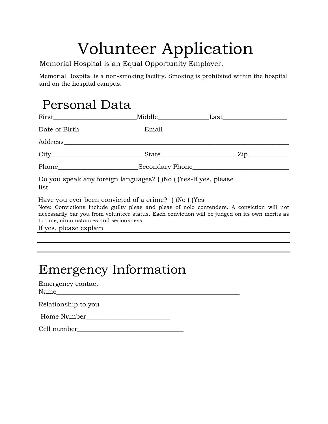# Volunteer Application

Memorial Hospital is an Equal Opportunity Employer.

Memorial Hospital is a non-smoking facility. Smoking is prohibited within the hospital and on the hospital campus.

#### Personal Data First\_\_\_\_\_\_\_\_\_\_\_\_\_\_\_\_\_\_\_\_\_\_\_\_\_\_Middle\_\_\_\_\_\_\_\_\_\_\_\_\_\_\_\_Last\_\_\_\_\_\_\_\_\_\_\_\_\_\_\_\_\_\_\_\_ Date of Birth\_\_\_\_\_\_\_\_\_\_\_\_\_\_\_\_\_\_\_ Email\_\_\_\_\_\_\_\_\_\_\_\_\_\_\_\_\_\_\_\_\_\_\_\_\_\_\_\_\_\_\_\_\_\_\_\_\_\_\_ Address City\_\_\_\_\_\_\_\_\_\_\_\_\_\_\_\_\_\_\_\_\_\_\_\_\_\_\_\_\_State\_\_\_\_\_\_\_\_\_\_\_\_\_\_\_\_\_\_\_\_\_\_\_\_Zip\_\_\_\_\_\_\_\_\_\_\_\_ Phone\_\_\_\_\_\_\_\_\_\_\_\_\_\_\_\_\_\_\_\_\_\_\_\_\_Secondary Phone\_\_\_\_\_\_\_\_\_\_\_\_\_\_\_\_\_\_\_\_\_\_\_\_\_\_\_\_\_\_ Do you speak any foreign languages? ( )No ( )Yes-If yes, please list\_\_\_\_\_\_\_\_\_\_\_\_\_\_\_\_\_\_\_\_\_\_\_\_\_\_\_ Have you ever been convicted of a crime? ( )No ( )Yes Note: Convictions include guilty pleas and pleas of nolo contendere. A conviction will not necessarily bar you from volunteer status. Each conviction will be judged on its own merits as to time, circumstances and seriousness. If yes, please explain

#### Emergency Information

| Emergency contact<br>Name_____________________ |  |
|------------------------------------------------|--|
| Relationship to you_______________             |  |
|                                                |  |

Cell number\_\_\_\_\_\_\_\_\_\_\_\_\_\_\_\_\_\_\_\_\_\_\_\_\_\_\_\_\_\_\_\_\_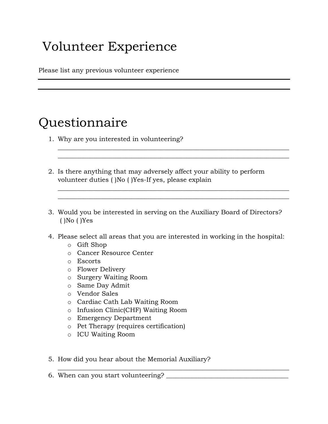# Volunteer Experience

Please list any previous volunteer experience

### Questionnaire

- 1. Why are you interested in volunteering?
- 2. Is there anything that may adversely affect your ability to perform volunteer duties ( )No ( )Yes-If yes, please explain
- 3. Would you be interested in serving on the Auxiliary Board of Directors?  $(No()Yes)$

 $\_$  , and the set of the set of the set of the set of the set of the set of the set of the set of the set of the set of the set of the set of the set of the set of the set of the set of the set of the set of the set of th  $\_$  , and the set of the set of the set of the set of the set of the set of the set of the set of the set of the set of the set of the set of the set of the set of the set of the set of the set of the set of the set of th

 $\_$  , and the set of the set of the set of the set of the set of the set of the set of the set of the set of the set of the set of the set of the set of the set of the set of the set of the set of the set of the set of th  $\_$  , and the set of the set of the set of the set of the set of the set of the set of the set of the set of the set of the set of the set of the set of the set of the set of the set of the set of the set of the set of th

4. Please select all areas that you are interested in working in the hospital:

 $\_$  , and the set of the set of the set of the set of the set of the set of the set of the set of the set of the set of the set of the set of the set of the set of the set of the set of the set of the set of the set of th

- o Gift Shop
- o Cancer Resource Center
- o Escorts
- o Flower Delivery
- o Surgery Waiting Room
- o Same Day Admit
- o Vendor Sales
- o Cardiac Cath Lab Waiting Room
- o Infusion Clinic(CHF) Waiting Room
- o Emergency Department
- o Pet Therapy (requires certification)
- o ICU Waiting Room
- 5. How did you hear about the Memorial Auxiliary?

6. When can you start volunteering?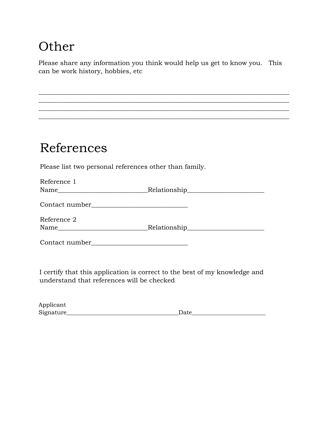# **Other**

Please share any information you think would help us get to know you. This can be work history, hobbies, etc

\_\_\_\_\_\_\_\_\_\_\_\_\_\_\_\_\_\_\_\_\_\_\_\_\_\_\_\_\_\_\_\_\_\_\_\_\_\_\_\_\_\_\_\_\_\_\_\_\_\_\_\_\_\_\_\_\_\_\_\_\_\_\_\_\_\_\_\_\_\_\_\_\_\_\_\_\_\_ \_\_\_\_\_\_\_\_\_\_\_\_\_\_\_\_\_\_\_\_\_\_\_\_\_\_\_\_\_\_\_\_\_\_\_\_\_\_\_\_\_\_\_\_\_\_\_\_\_\_\_\_\_\_\_\_\_\_\_\_\_\_\_\_\_\_\_\_\_\_\_\_\_\_\_\_\_\_ \_\_\_\_\_\_\_\_\_\_\_\_\_\_\_\_\_\_\_\_\_\_\_\_\_\_\_\_\_\_\_\_\_\_\_\_\_\_\_\_\_\_\_\_\_\_\_\_\_\_\_\_\_\_\_\_\_\_\_\_\_\_\_\_\_\_\_\_\_\_\_\_\_\_\_\_\_\_ \_\_\_\_\_\_\_\_\_\_\_\_\_\_\_\_\_\_\_\_\_\_\_\_\_\_\_\_\_\_\_\_\_\_\_\_\_\_\_\_\_\_\_\_\_\_\_\_\_\_\_\_\_\_\_\_\_\_\_\_\_\_\_\_\_\_\_\_\_\_\_\_\_\_\_\_\_\_

#### References

Please list two personal references other than family.

| Reference 1         |  |
|---------------------|--|
|                     |  |
|                     |  |
| Reference 2<br>Name |  |
| Contact number      |  |

I certify that this application is correct to the best of my knowledge and understand that references will be checked

| Applicant |      |
|-----------|------|
| Signature | Date |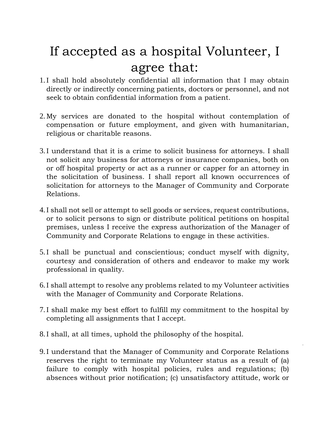# If accepted as a hospital Volunteer, I agree that:

- 1.I shall hold absolutely confidential all information that I may obtain directly or indirectly concerning patients, doctors or personnel, and not seek to obtain confidential information from a patient.
- 2. My services are donated to the hospital without contemplation of compensation or future employment, and given with humanitarian, religious or charitable reasons.
- 3.I understand that it is a crime to solicit business for attorneys. I shall not solicit any business for attorneys or insurance companies, both on or off hospital property or act as a runner or capper for an attorney in the solicitation of business. I shall report all known occurrences of solicitation for attorneys to the Manager of Community and Corporate Relations.
- 4.I shall not sell or attempt to sell goods or services, request contributions, or to solicit persons to sign or distribute political petitions on hospital premises, unless I receive the express authorization of the Manager of Community and Corporate Relations to engage in these activities.
- 5.I shall be punctual and conscientious; conduct myself with dignity, courtesy and consideration of others and endeavor to make my work professional in quality.
- 6.I shall attempt to resolve any problems related to my Volunteer activities with the Manager of Community and Corporate Relations.
- 7.I shall make my best effort to fulfill my commitment to the hospital by completing all assignments that I accept.
- 8.I shall, at all times, uphold the philosophy of the hospital.
- 9.I understand that the Manager of Community and Corporate Relations reserves the right to terminate my Volunteer status as a result of (a) failure to comply with hospital policies, rules and regulations; (b) absences without prior notification; (c) unsatisfactory attitude, work or